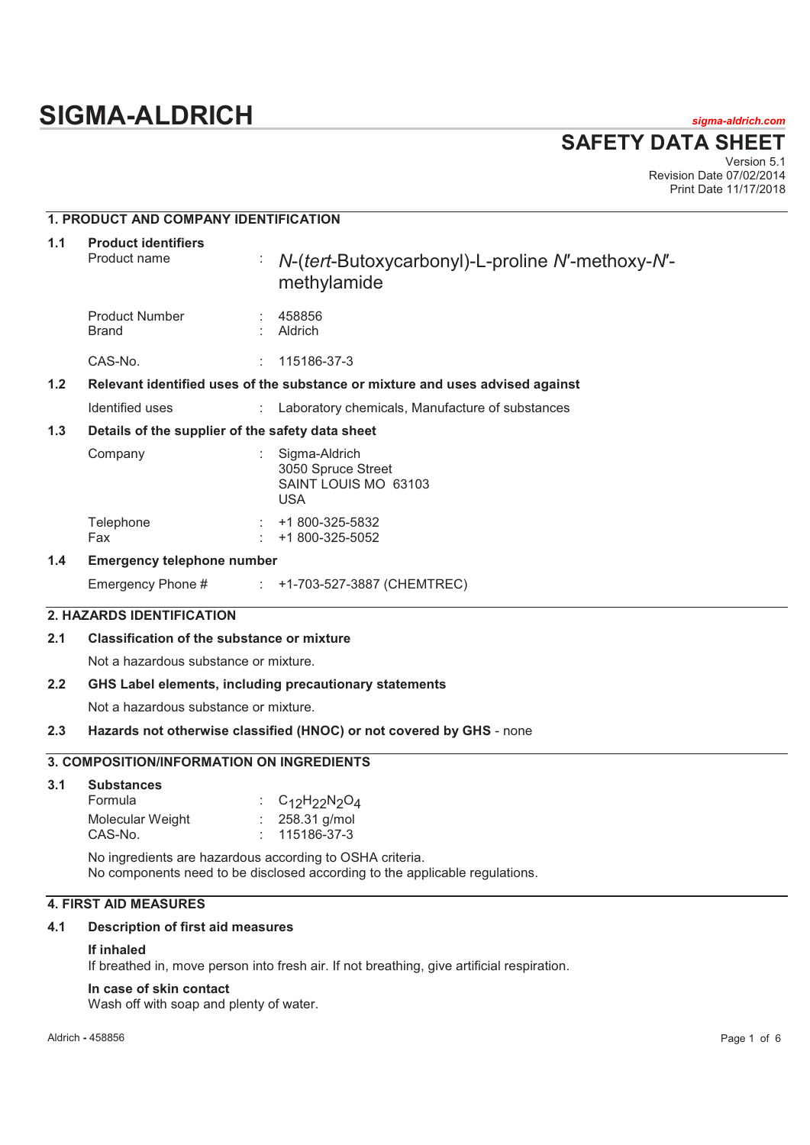# **SIGMA-ALDRICH** *sigma-aldrich.com*

**SAFETY DATA SHEET**

Version 5.1 Revision Date 07/02/2014 Print Date 11/17/2018

## **1. PRODUCT AND COMPANY IDENTIFICATION**

| 1.1 | <b>Product identifiers</b><br>Product name                                    | ÷ | N-(tert-Butoxycarbonyl)-L-proline N'-methoxy-N'-<br>methylamide           |  |  |
|-----|-------------------------------------------------------------------------------|---|---------------------------------------------------------------------------|--|--|
|     | <b>Product Number</b><br><b>Brand</b>                                         |   | 458856<br>Aldrich                                                         |  |  |
|     | CAS-No.                                                                       |   | 115186-37-3                                                               |  |  |
| 1.2 | Relevant identified uses of the substance or mixture and uses advised against |   |                                                                           |  |  |
|     | Identified uses                                                               |   | : Laboratory chemicals, Manufacture of substances                         |  |  |
| 1.3 | Details of the supplier of the safety data sheet                              |   |                                                                           |  |  |
|     | Company                                                                       |   | Sigma-Aldrich<br>3050 Spruce Street<br>SAINT LOUIS MO 63103<br><b>USA</b> |  |  |
|     | Telephone<br>Fax                                                              |   | +1 800-325-5832<br>+1 800-325-5052                                        |  |  |
| 1.4 | <b>Emergency telephone number</b>                                             |   |                                                                           |  |  |
|     | Emergency Phone #                                                             |   | $\div$ +1-703-527-3887 (CHEMTREC)                                         |  |  |

## **2. HAZARDS IDENTIFICATION**

## **2.1 Classification of the substance or mixture**

Not a hazardous substance or mixture.

#### **2.2 GHS Label elements, including precautionary statements**

Not a hazardous substance or mixture.

#### **2.3 Hazards not otherwise classified (HNOC) or not covered by GHS** - none

## **3. COMPOSITION/INFORMATION ON INGREDIENTS**

| 3.1 | <b>Substances</b> |                            |
|-----|-------------------|----------------------------|
|     | Formula           | : $C_{12}H_{22}N_{2}O_{4}$ |
|     | Molecular Weight  | $: 258.31$ g/mol           |
|     | CAS-No.           | $: 115186 - 37 - 3$        |

No ingredients are hazardous according to OSHA criteria. No components need to be disclosed according to the applicable regulations.

## **4. FIRST AID MEASURES**

#### **4.1 Description of first aid measures**

## **If inhaled**

If breathed in, move person into fresh air. If not breathing, give artificial respiration.

#### **In case of skin contact**

Wash off with soap and plenty of water.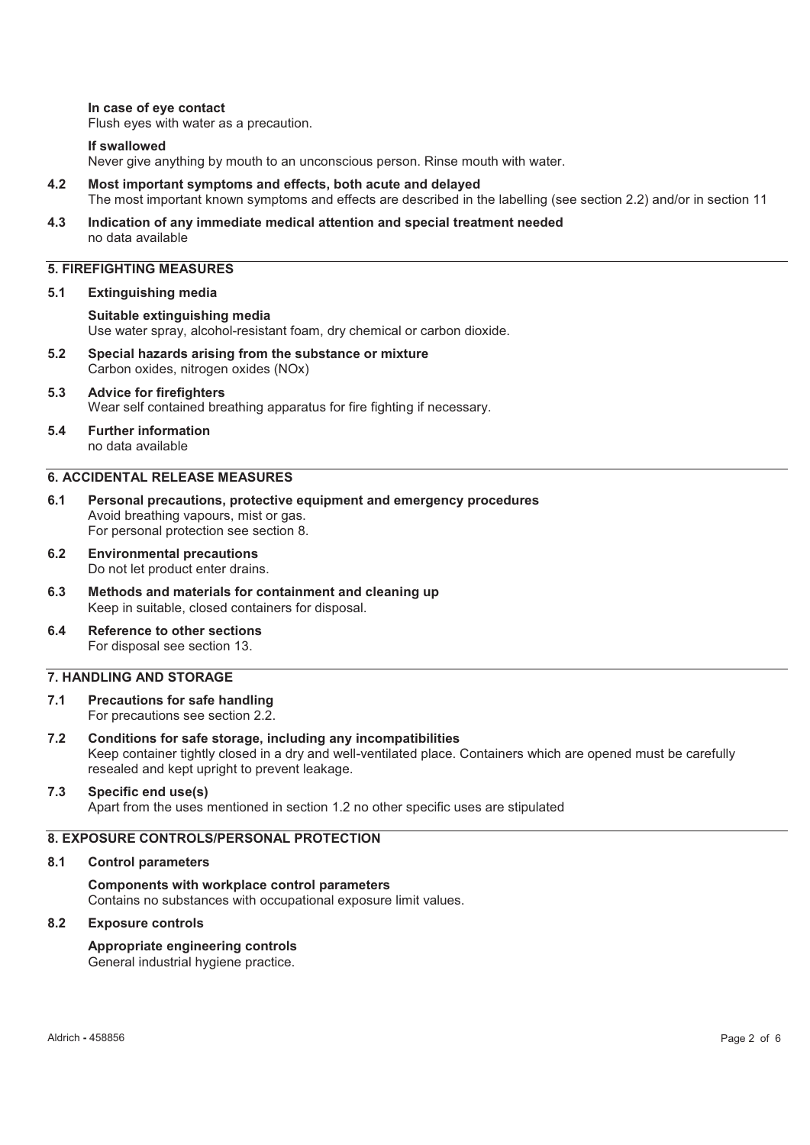#### **In case of eye contact**

Flush eyes with water as a precaution.

#### **If swallowed**

Never give anything by mouth to an unconscious person. Rinse mouth with water.

- **4.2 Most important symptoms and effects, both acute and delayed**  The most important known symptoms and effects are described in the labelling (see section 2.2) and/or in section 11
- **4.3 Indication of any immediate medical attention and special treatment needed**  no data available

## **5. FIREFIGHTING MEASURES**

#### **5.1 Extinguishing media**

**Suitable extinguishing media**  Use water spray, alcohol-resistant foam, dry chemical or carbon dioxide.

- **5.2 Special hazards arising from the substance or mixture**  Carbon oxides, nitrogen oxides (NOx)
- **5.3 Advice for firefighters**  Wear self contained breathing apparatus for fire fighting if necessary.
- **5.4 Further information**  no data available

#### **6. ACCIDENTAL RELEASE MEASURES**

- **6.1 Personal precautions, protective equipment and emergency procedures**  Avoid breathing vapours, mist or gas. For personal protection see section 8.
- **6.2 Environmental precautions**  Do not let product enter drains.
- **6.3 Methods and materials for containment and cleaning up**  Keep in suitable, closed containers for disposal.
- **6.4 Reference to other sections**  For disposal see section 13.

#### **7. HANDLING AND STORAGE**

- **7.1 Precautions for safe handling**  For precautions see section 2.2.
- **7.2 Conditions for safe storage, including any incompatibilities**  Keep container tightly closed in a dry and well-ventilated place. Containers which are opened must be carefully resealed and kept upright to prevent leakage.

#### **7.3 Specific end use(s)**

Apart from the uses mentioned in section 1.2 no other specific uses are stipulated

#### **8. EXPOSURE CONTROLS/PERSONAL PROTECTION**

#### **8.1 Control parameters**

**Components with workplace control parameters**  Contains no substances with occupational exposure limit values.

#### **8.2 Exposure controls**

**Appropriate engineering controls**  General industrial hygiene practice.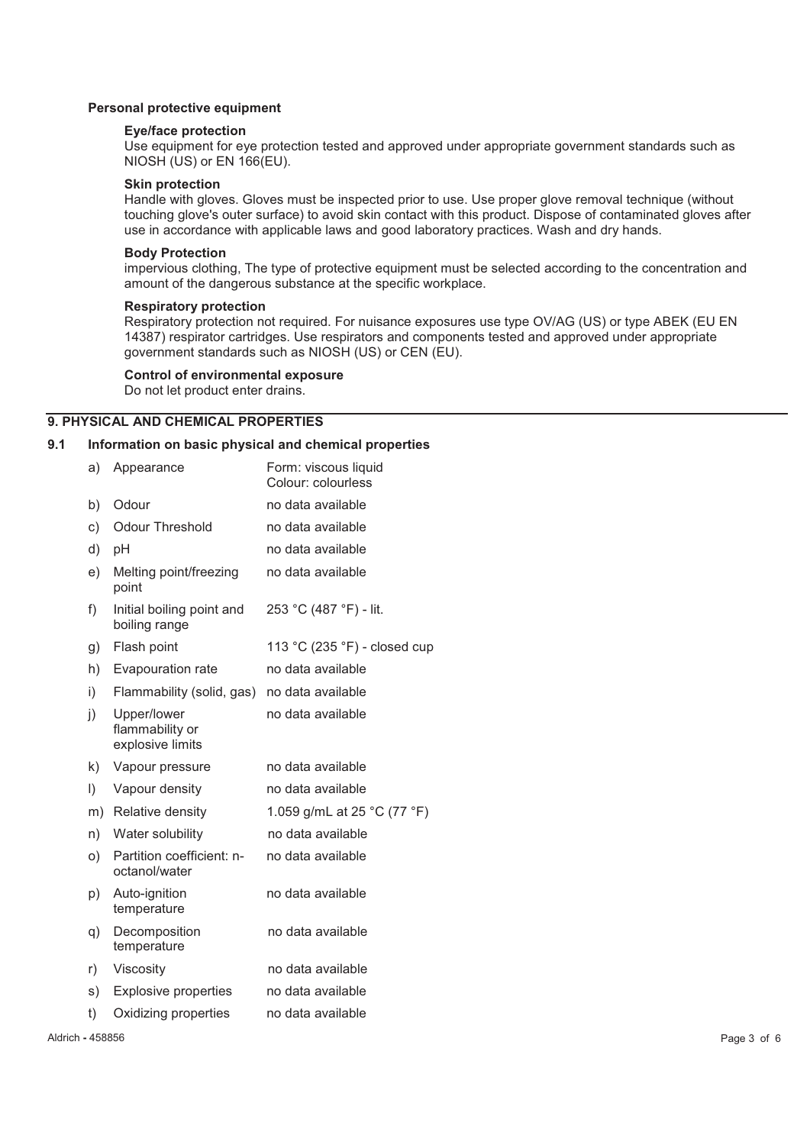#### **Personal protective equipment**

#### **Eye/face protection**

Use equipment for eye protection tested and approved under appropriate government standards such as NIOSH (US) or EN 166(EU).

#### **Skin protection**

Handle with gloves. Gloves must be inspected prior to use. Use proper glove removal technique (without touching glove's outer surface) to avoid skin contact with this product. Dispose of contaminated gloves after use in accordance with applicable laws and good laboratory practices. Wash and dry hands.

#### **Body Protection**

impervious clothing, The type of protective equipment must be selected according to the concentration and amount of the dangerous substance at the specific workplace.

#### **Respiratory protection**

Respiratory protection not required. For nuisance exposures use type OV/AG (US) or type ABEK (EU EN 14387) respirator cartridges. Use respirators and components tested and approved under appropriate government standards such as NIOSH (US) or CEN (EU).

#### **Control of environmental exposure**

Do not let product enter drains.

#### **9. PHYSICAL AND CHEMICAL PROPERTIES**

#### **9.1 Information on basic physical and chemical properties**

| a) | Appearance                                         | Form: viscous liquid<br>Colour: colourless |
|----|----------------------------------------------------|--------------------------------------------|
| b) | Odour                                              | no data available                          |
| c) | <b>Odour Threshold</b>                             | no data available                          |
| d) | рH                                                 | no data available                          |
| e) | Melting point/freezing<br>point                    | no data available                          |
| f) | Initial boiling point and<br>boiling range         | 253 °C (487 °F) - lit.                     |
| g) | Flash point                                        | 113 °C (235 °F) - closed cup               |
| h) | Evapouration rate                                  | no data available                          |
| i) | Flammability (solid, gas)                          | no data available                          |
| j) | Upper/lower<br>flammability or<br>explosive limits | no data available                          |
| k) | Vapour pressure                                    | no data available                          |
| I) | Vapour density                                     | no data available                          |
| m) | Relative density                                   | 1.059 g/mL at 25 °C (77 °F)                |
| n) | Water solubility                                   | no data available                          |
| o) | Partition coefficient: n-<br>octanol/water         | no data available                          |
| p) | Auto-ignition<br>temperature                       | no data available                          |
| q) | Decomposition<br>temperature                       | no data available                          |
| r) | Viscosity                                          | no data available                          |
| s) | <b>Explosive properties</b>                        | no data available                          |
| t) | Oxidizing properties                               | no data available                          |
|    |                                                    |                                            |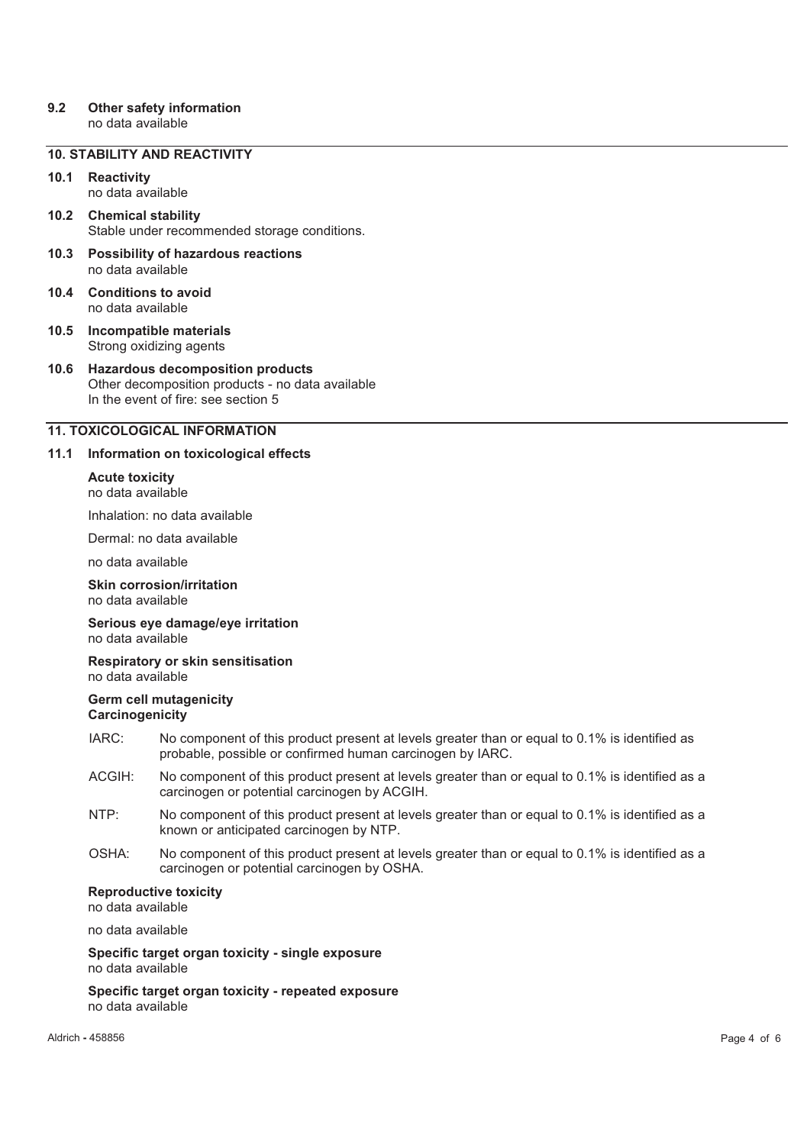## **9.2 Other safety information**

no data available

## **10. STABILITY AND REACTIVITY**

## **10.1 Reactivity**

no data available

- **10.2 Chemical stability**  Stable under recommended storage conditions.
- **10.3 Possibility of hazardous reactions**  no data available
- **10.4 Conditions to avoid**  no data available
- **10.5 Incompatible materials**  Strong oxidizing agents
- **10.6 Hazardous decomposition products**  Other decomposition products - no data available In the event of fire: see section 5

## **11. TOXICOLOGICAL INFORMATION**

#### **11.1 Information on toxicological effects**

**Acute toxicity**  no data available

Inhalation: no data available

Dermal: no data available

no data available

#### **Skin corrosion/irritation**  no data available

#### **Serious eye damage/eye irritation**  no data available

**Respiratory or skin sensitisation**  no data available

#### **Germ cell mutagenicity Carcinogenicity**

- IARC: No component of this product present at levels greater than or equal to 0.1% is identified as probable, possible or confirmed human carcinogen by IARC.
- ACGIH: No component of this product present at levels greater than or equal to 0.1% is identified as a carcinogen or potential carcinogen by ACGIH.
- NTP: No component of this product present at levels greater than or equal to 0.1% is identified as a known or anticipated carcinogen by NTP.
- OSHA: No component of this product present at levels greater than or equal to 0.1% is identified as a carcinogen or potential carcinogen by OSHA.

#### **Reproductive toxicity**

no data available

no data available

**Specific target organ toxicity - single exposure**  no data available

**Specific target organ toxicity - repeated exposure**  no data available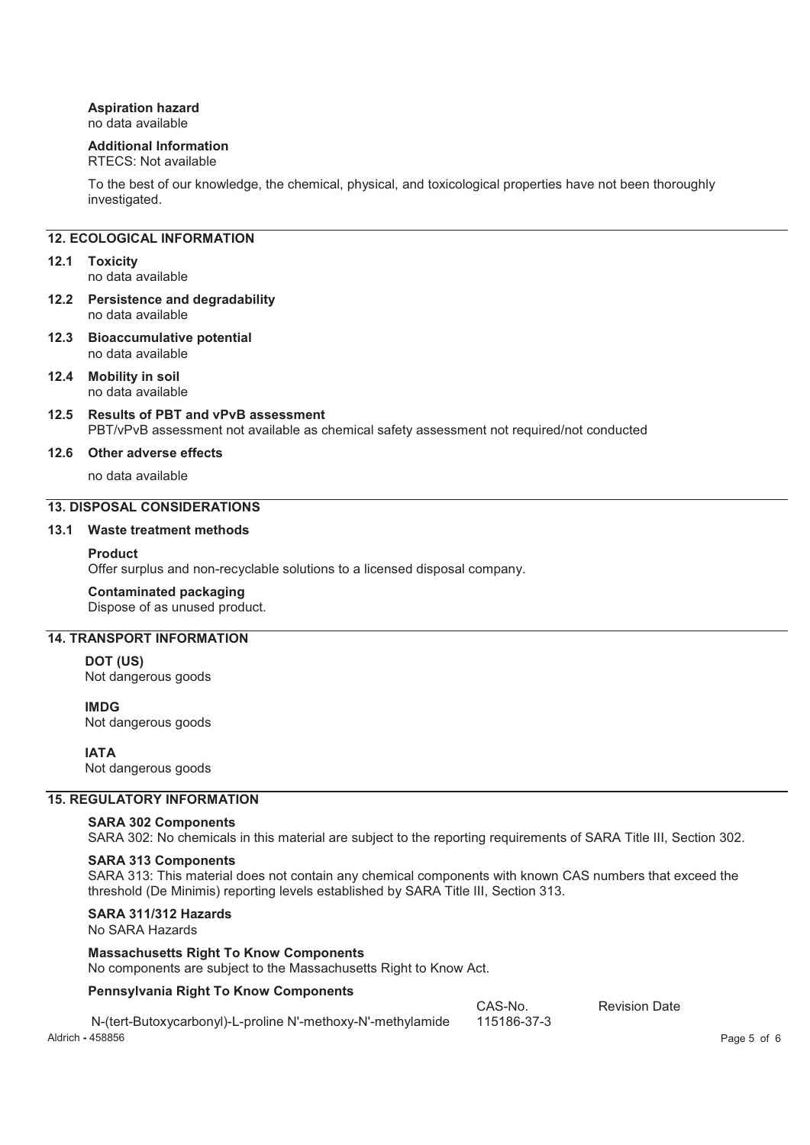## **Aspiration hazard**

no data available

## **Additional Information**

## RTECS: Not available

To the best of our knowledge, the chemical, physical, and toxicological properties have not been thoroughly investigated.

## **12. ECOLOGICAL INFORMATION**

#### **12.1 Toxicity**

no data available

- **12.2 Persistence and degradability**  no data available
- **12.3 Bioaccumulative potential**  no data available
- **12.4 Mobility in soil**  no data available
- **12.5 Results of PBT and vPvB assessment**  PBT/vPvB assessment not available as chemical safety assessment not required/not conducted

#### **12.6 Other adverse effects**

no data available

## **13. DISPOSAL CONSIDERATIONS**

#### **13.1 Waste treatment methods**

#### **Product**

Offer surplus and non-recyclable solutions to a licensed disposal company.

#### **Contaminated packaging**

Dispose of as unused product.

## **14. TRANSPORT INFORMATION**

**DOT (US)** Not dangerous goods

**IMDG** Not dangerous goods

#### **IATA**

Not dangerous goods

#### **15. REGULATORY INFORMATION**

#### **SARA 302 Components**

SARA 302: No chemicals in this material are subject to the reporting requirements of SARA Title III, Section 302.

#### **SARA 313 Components**

SARA 313: This material does not contain any chemical components with known CAS numbers that exceed the threshold (De Minimis) reporting levels established by SARA Title III, Section 313.

## **SARA 311/312 Hazards**

No SARA Hazards

#### **Massachusetts Right To Know Components**

No components are subject to the Massachusetts Right to Know Act.

#### **Pennsylvania Right To Know Components**

|                                                             | CAS-No.     | <b>Revision Date</b> |             |
|-------------------------------------------------------------|-------------|----------------------|-------------|
| N-(tert-Butoxycarbonyl)-L-proline N'-methoxy-N'-methylamide | 115186-37-3 |                      |             |
| Aldrich - 458856                                            |             |                      | Page 5 of 6 |